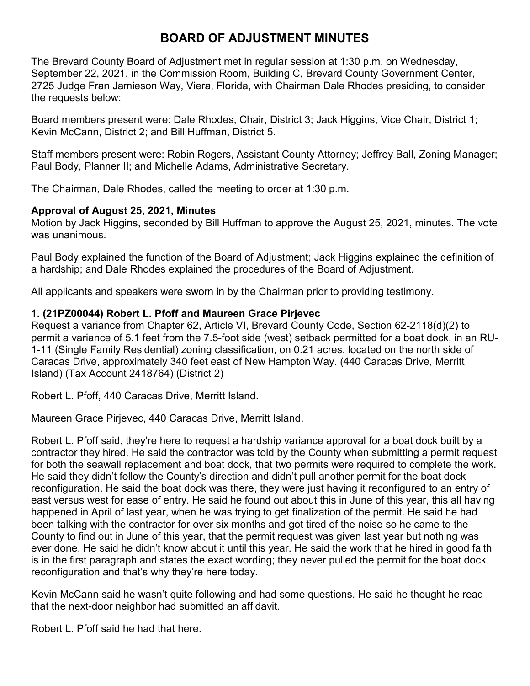# **BOARD OF ADJUSTMENT MINUTES**

The Brevard County Board of Adjustment met in regular session at 1:30 p.m. on Wednesday, September 22, 2021, in the Commission Room, Building C, Brevard County Government Center, 2725 Judge Fran Jamieson Way, Viera, Florida, with Chairman Dale Rhodes presiding, to consider the requests below:

Board members present were: Dale Rhodes, Chair, District 3; Jack Higgins, Vice Chair, District 1; Kevin McCann, District 2; and Bill Huffman, District 5.

Staff members present were: Robin Rogers, Assistant County Attorney; Jeffrey Ball, Zoning Manager; Paul Body, Planner II; and Michelle Adams, Administrative Secretary.

The Chairman, Dale Rhodes, called the meeting to order at 1:30 p.m.

# **Approval of August 25, 2021, Minutes**

Motion by Jack Higgins, seconded by Bill Huffman to approve the August 25, 2021, minutes. The vote was unanimous.

Paul Body explained the function of the Board of Adjustment; Jack Higgins explained the definition of a hardship; and Dale Rhodes explained the procedures of the Board of Adjustment.

All applicants and speakers were sworn in by the Chairman prior to providing testimony.

# **1. (21PZ00044) Robert L. Pfoff and Maureen Grace Pirjevec**

Request a variance from Chapter 62, Article VI, Brevard County Code, Section 62-2118(d)(2) to permit a variance of 5.1 feet from the 7.5-foot side (west) setback permitted for a boat dock, in an RU-1-11 (Single Family Residential) zoning classification, on 0.21 acres, located on the north side of Caracas Drive, approximately 340 feet east of New Hampton Way. (440 Caracas Drive, Merritt Island) (Tax Account 2418764) (District 2)

Robert L. Pfoff, 440 Caracas Drive, Merritt Island.

Maureen Grace Pirjevec, 440 Caracas Drive, Merritt Island.

Robert L. Pfoff said, they're here to request a hardship variance approval for a boat dock built by a contractor they hired. He said the contractor was told by the County when submitting a permit request for both the seawall replacement and boat dock, that two permits were required to complete the work. He said they didn't follow the County's direction and didn't pull another permit for the boat dock reconfiguration. He said the boat dock was there, they were just having it reconfigured to an entry of east versus west for ease of entry. He said he found out about this in June of this year, this all having happened in April of last year, when he was trying to get finalization of the permit. He said he had been talking with the contractor for over six months and got tired of the noise so he came to the County to find out in June of this year, that the permit request was given last year but nothing was ever done. He said he didn't know about it until this year. He said the work that he hired in good faith is in the first paragraph and states the exact wording; they never pulled the permit for the boat dock reconfiguration and that's why they're here today.

Kevin McCann said he wasn't quite following and had some questions. He said he thought he read that the next-door neighbor had submitted an affidavit.

Robert L. Pfoff said he had that here.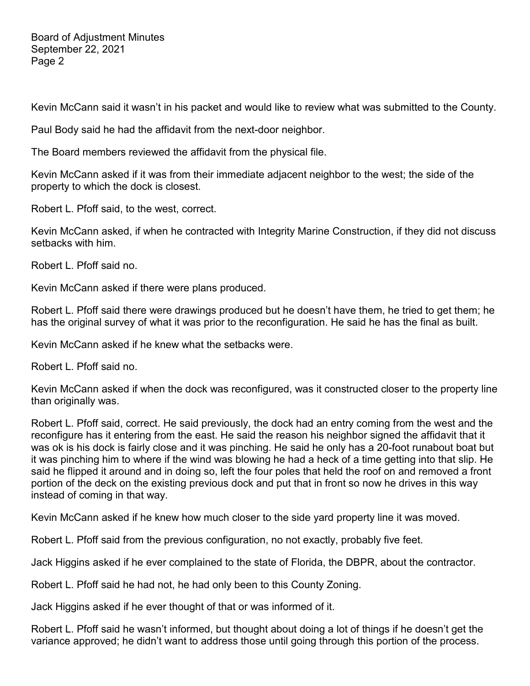Kevin McCann said it wasn't in his packet and would like to review what was submitted to the County.

Paul Body said he had the affidavit from the next-door neighbor.

The Board members reviewed the affidavit from the physical file.

Kevin McCann asked if it was from their immediate adjacent neighbor to the west; the side of the property to which the dock is closest.

Robert L. Pfoff said, to the west, correct.

Kevin McCann asked, if when he contracted with Integrity Marine Construction, if they did not discuss setbacks with him.

Robert L. Pfoff said no.

Kevin McCann asked if there were plans produced.

Robert L. Pfoff said there were drawings produced but he doesn't have them, he tried to get them; he has the original survey of what it was prior to the reconfiguration. He said he has the final as built.

Kevin McCann asked if he knew what the setbacks were.

Robert L. Pfoff said no.

Kevin McCann asked if when the dock was reconfigured, was it constructed closer to the property line than originally was.

Robert L. Pfoff said, correct. He said previously, the dock had an entry coming from the west and the reconfigure has it entering from the east. He said the reason his neighbor signed the affidavit that it was ok is his dock is fairly close and it was pinching. He said he only has a 20-foot runabout boat but it was pinching him to where if the wind was blowing he had a heck of a time getting into that slip. He said he flipped it around and in doing so, left the four poles that held the roof on and removed a front portion of the deck on the existing previous dock and put that in front so now he drives in this way instead of coming in that way.

Kevin McCann asked if he knew how much closer to the side yard property line it was moved.

Robert L. Pfoff said from the previous configuration, no not exactly, probably five feet.

Jack Higgins asked if he ever complained to the state of Florida, the DBPR, about the contractor.

Robert L. Pfoff said he had not, he had only been to this County Zoning.

Jack Higgins asked if he ever thought of that or was informed of it.

Robert L. Pfoff said he wasn't informed, but thought about doing a lot of things if he doesn't get the variance approved; he didn't want to address those until going through this portion of the process.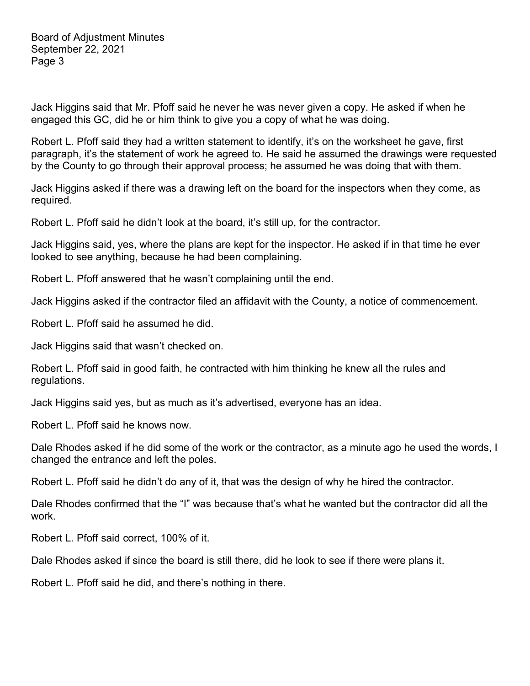Jack Higgins said that Mr. Pfoff said he never he was never given a copy. He asked if when he engaged this GC, did he or him think to give you a copy of what he was doing.

Robert L. Pfoff said they had a written statement to identify, it's on the worksheet he gave, first paragraph, it's the statement of work he agreed to. He said he assumed the drawings were requested by the County to go through their approval process; he assumed he was doing that with them.

Jack Higgins asked if there was a drawing left on the board for the inspectors when they come, as required.

Robert L. Pfoff said he didn't look at the board, it's still up, for the contractor.

Jack Higgins said, yes, where the plans are kept for the inspector. He asked if in that time he ever looked to see anything, because he had been complaining.

Robert L. Pfoff answered that he wasn't complaining until the end.

Jack Higgins asked if the contractor filed an affidavit with the County, a notice of commencement.

Robert L. Pfoff said he assumed he did.

Jack Higgins said that wasn't checked on.

Robert L. Pfoff said in good faith, he contracted with him thinking he knew all the rules and regulations.

Jack Higgins said yes, but as much as it's advertised, everyone has an idea.

Robert L. Pfoff said he knows now.

Dale Rhodes asked if he did some of the work or the contractor, as a minute ago he used the words, I changed the entrance and left the poles.

Robert L. Pfoff said he didn't do any of it, that was the design of why he hired the contractor.

Dale Rhodes confirmed that the "I" was because that's what he wanted but the contractor did all the work.

Robert L. Pfoff said correct, 100% of it.

Dale Rhodes asked if since the board is still there, did he look to see if there were plans it.

Robert L. Pfoff said he did, and there's nothing in there.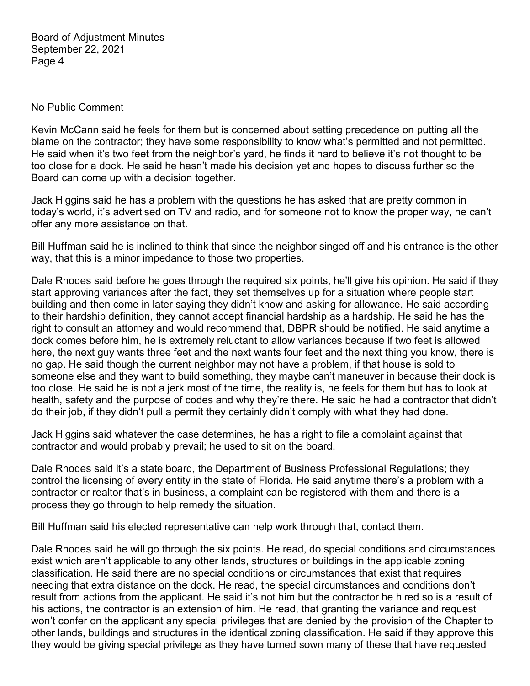#### No Public Comment

Kevin McCann said he feels for them but is concerned about setting precedence on putting all the blame on the contractor; they have some responsibility to know what's permitted and not permitted. He said when it's two feet from the neighbor's yard, he finds it hard to believe it's not thought to be too close for a dock. He said he hasn't made his decision yet and hopes to discuss further so the Board can come up with a decision together.

Jack Higgins said he has a problem with the questions he has asked that are pretty common in today's world, it's advertised on TV and radio, and for someone not to know the proper way, he can't offer any more assistance on that.

Bill Huffman said he is inclined to think that since the neighbor singed off and his entrance is the other way, that this is a minor impedance to those two properties.

Dale Rhodes said before he goes through the required six points, he'll give his opinion. He said if they start approving variances after the fact, they set themselves up for a situation where people start building and then come in later saying they didn't know and asking for allowance. He said according to their hardship definition, they cannot accept financial hardship as a hardship. He said he has the right to consult an attorney and would recommend that, DBPR should be notified. He said anytime a dock comes before him, he is extremely reluctant to allow variances because if two feet is allowed here, the next guy wants three feet and the next wants four feet and the next thing you know, there is no gap. He said though the current neighbor may not have a problem, if that house is sold to someone else and they want to build something, they maybe can't maneuver in because their dock is too close. He said he is not a jerk most of the time, the reality is, he feels for them but has to look at health, safety and the purpose of codes and why they're there. He said he had a contractor that didn't do their job, if they didn't pull a permit they certainly didn't comply with what they had done.

Jack Higgins said whatever the case determines, he has a right to file a complaint against that contractor and would probably prevail; he used to sit on the board.

Dale Rhodes said it's a state board, the Department of Business Professional Regulations; they control the licensing of every entity in the state of Florida. He said anytime there's a problem with a contractor or realtor that's in business, a complaint can be registered with them and there is a process they go through to help remedy the situation.

Bill Huffman said his elected representative can help work through that, contact them.

Dale Rhodes said he will go through the six points. He read, do special conditions and circumstances exist which aren't applicable to any other lands, structures or buildings in the applicable zoning classification. He said there are no special conditions or circumstances that exist that requires needing that extra distance on the dock. He read, the special circumstances and conditions don't result from actions from the applicant. He said it's not him but the contractor he hired so is a result of his actions, the contractor is an extension of him. He read, that granting the variance and request won't confer on the applicant any special privileges that are denied by the provision of the Chapter to other lands, buildings and structures in the identical zoning classification. He said if they approve this they would be giving special privilege as they have turned sown many of these that have requested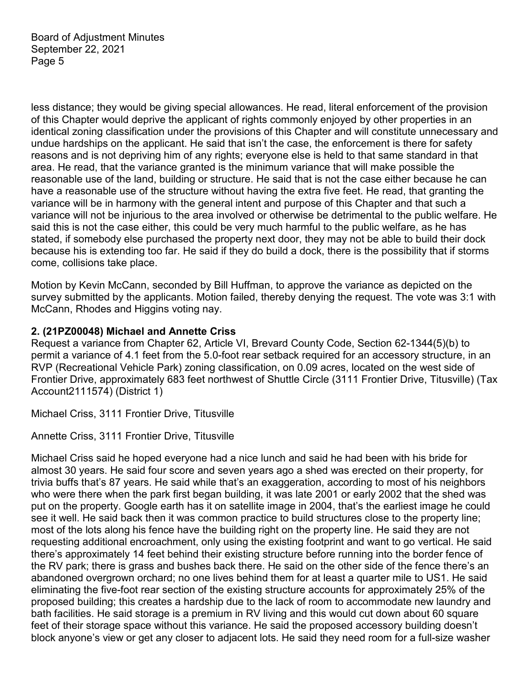less distance; they would be giving special allowances. He read, literal enforcement of the provision of this Chapter would deprive the applicant of rights commonly enjoyed by other properties in an identical zoning classification under the provisions of this Chapter and will constitute unnecessary and undue hardships on the applicant. He said that isn't the case, the enforcement is there for safety reasons and is not depriving him of any rights; everyone else is held to that same standard in that area. He read, that the variance granted is the minimum variance that will make possible the reasonable use of the land, building or structure. He said that is not the case either because he can have a reasonable use of the structure without having the extra five feet. He read, that granting the variance will be in harmony with the general intent and purpose of this Chapter and that such a variance will not be injurious to the area involved or otherwise be detrimental to the public welfare. He said this is not the case either, this could be very much harmful to the public welfare, as he has stated, if somebody else purchased the property next door, they may not be able to build their dock because his is extending too far. He said if they do build a dock, there is the possibility that if storms come, collisions take place.

Motion by Kevin McCann, seconded by Bill Huffman, to approve the variance as depicted on the survey submitted by the applicants. Motion failed, thereby denying the request. The vote was 3:1 with McCann, Rhodes and Higgins voting nay.

### **2. (21PZ00048) Michael and Annette Criss**

Request a variance from Chapter 62, Article VI, Brevard County Code, Section 62-1344(5)(b) to permit a variance of 4.1 feet from the 5.0-foot rear setback required for an accessory structure, in an RVP (Recreational Vehicle Park) zoning classification, on 0.09 acres, located on the west side of Frontier Drive, approximately 683 feet northwest of Shuttle Circle (3111 Frontier Drive, Titusville) (Tax Account2111574) (District 1)

Michael Criss, 3111 Frontier Drive, Titusville

Annette Criss, 3111 Frontier Drive, Titusville

Michael Criss said he hoped everyone had a nice lunch and said he had been with his bride for almost 30 years. He said four score and seven years ago a shed was erected on their property, for trivia buffs that's 87 years. He said while that's an exaggeration, according to most of his neighbors who were there when the park first began building, it was late 2001 or early 2002 that the shed was put on the property. Google earth has it on satellite image in 2004, that's the earliest image he could see it well. He said back then it was common practice to build structures close to the property line; most of the lots along his fence have the building right on the property line. He said they are not requesting additional encroachment, only using the existing footprint and want to go vertical. He said there's approximately 14 feet behind their existing structure before running into the border fence of the RV park; there is grass and bushes back there. He said on the other side of the fence there's an abandoned overgrown orchard; no one lives behind them for at least a quarter mile to US1. He said eliminating the five-foot rear section of the existing structure accounts for approximately 25% of the proposed building; this creates a hardship due to the lack of room to accommodate new laundry and bath facilities. He said storage is a premium in RV living and this would cut down about 60 square feet of their storage space without this variance. He said the proposed accessory building doesn't block anyone's view or get any closer to adjacent lots. He said they need room for a full-size washer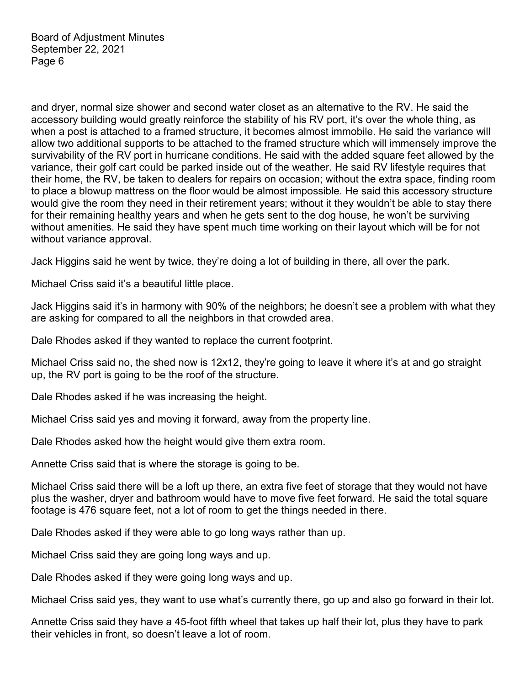and dryer, normal size shower and second water closet as an alternative to the RV. He said the accessory building would greatly reinforce the stability of his RV port, it's over the whole thing, as when a post is attached to a framed structure, it becomes almost immobile. He said the variance will allow two additional supports to be attached to the framed structure which will immensely improve the survivability of the RV port in hurricane conditions. He said with the added square feet allowed by the variance, their golf cart could be parked inside out of the weather. He said RV lifestyle requires that their home, the RV, be taken to dealers for repairs on occasion; without the extra space, finding room to place a blowup mattress on the floor would be almost impossible. He said this accessory structure would give the room they need in their retirement years; without it they wouldn't be able to stay there for their remaining healthy years and when he gets sent to the dog house, he won't be surviving without amenities. He said they have spent much time working on their layout which will be for not without variance approval.

Jack Higgins said he went by twice, they're doing a lot of building in there, all over the park.

Michael Criss said it's a beautiful little place.

Jack Higgins said it's in harmony with 90% of the neighbors; he doesn't see a problem with what they are asking for compared to all the neighbors in that crowded area.

Dale Rhodes asked if they wanted to replace the current footprint.

Michael Criss said no, the shed now is 12x12, they're going to leave it where it's at and go straight up, the RV port is going to be the roof of the structure.

Dale Rhodes asked if he was increasing the height.

Michael Criss said yes and moving it forward, away from the property line.

Dale Rhodes asked how the height would give them extra room.

Annette Criss said that is where the storage is going to be.

Michael Criss said there will be a loft up there, an extra five feet of storage that they would not have plus the washer, dryer and bathroom would have to move five feet forward. He said the total square footage is 476 square feet, not a lot of room to get the things needed in there.

Dale Rhodes asked if they were able to go long ways rather than up.

Michael Criss said they are going long ways and up.

Dale Rhodes asked if they were going long ways and up.

Michael Criss said yes, they want to use what's currently there, go up and also go forward in their lot.

Annette Criss said they have a 45-foot fifth wheel that takes up half their lot, plus they have to park their vehicles in front, so doesn't leave a lot of room.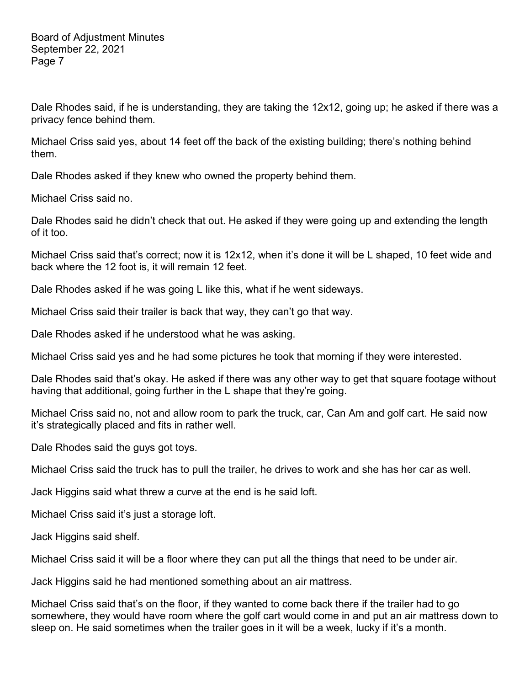Dale Rhodes said, if he is understanding, they are taking the 12x12, going up; he asked if there was a privacy fence behind them.

Michael Criss said yes, about 14 feet off the back of the existing building; there's nothing behind them.

Dale Rhodes asked if they knew who owned the property behind them.

Michael Criss said no.

Dale Rhodes said he didn't check that out. He asked if they were going up and extending the length of it too.

Michael Criss said that's correct; now it is 12x12, when it's done it will be L shaped, 10 feet wide and back where the 12 foot is, it will remain 12 feet.

Dale Rhodes asked if he was going L like this, what if he went sideways.

Michael Criss said their trailer is back that way, they can't go that way.

Dale Rhodes asked if he understood what he was asking.

Michael Criss said yes and he had some pictures he took that morning if they were interested.

Dale Rhodes said that's okay. He asked if there was any other way to get that square footage without having that additional, going further in the L shape that they're going.

Michael Criss said no, not and allow room to park the truck, car, Can Am and golf cart. He said now it's strategically placed and fits in rather well.

Dale Rhodes said the guys got toys.

Michael Criss said the truck has to pull the trailer, he drives to work and she has her car as well.

Jack Higgins said what threw a curve at the end is he said loft.

Michael Criss said it's just a storage loft.

Jack Higgins said shelf.

Michael Criss said it will be a floor where they can put all the things that need to be under air.

Jack Higgins said he had mentioned something about an air mattress.

Michael Criss said that's on the floor, if they wanted to come back there if the trailer had to go somewhere, they would have room where the golf cart would come in and put an air mattress down to sleep on. He said sometimes when the trailer goes in it will be a week, lucky if it's a month.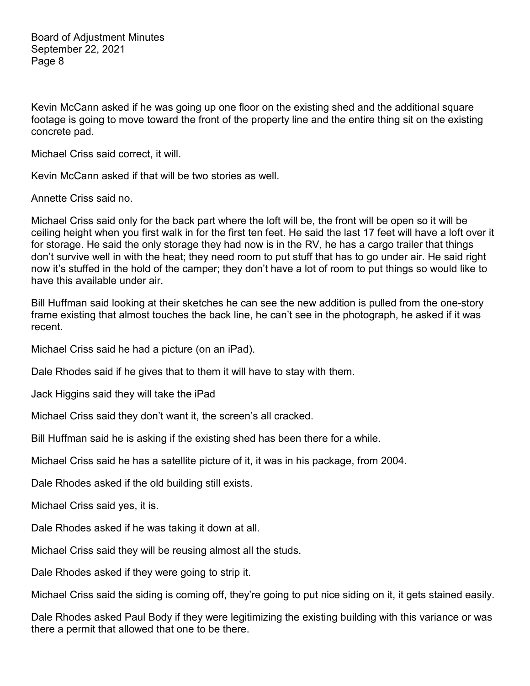Kevin McCann asked if he was going up one floor on the existing shed and the additional square footage is going to move toward the front of the property line and the entire thing sit on the existing concrete pad.

Michael Criss said correct, it will.

Kevin McCann asked if that will be two stories as well.

Annette Criss said no.

Michael Criss said only for the back part where the loft will be, the front will be open so it will be ceiling height when you first walk in for the first ten feet. He said the last 17 feet will have a loft over it for storage. He said the only storage they had now is in the RV, he has a cargo trailer that things don't survive well in with the heat; they need room to put stuff that has to go under air. He said right now it's stuffed in the hold of the camper; they don't have a lot of room to put things so would like to have this available under air.

Bill Huffman said looking at their sketches he can see the new addition is pulled from the one-story frame existing that almost touches the back line, he can't see in the photograph, he asked if it was recent.

Michael Criss said he had a picture (on an iPad).

Dale Rhodes said if he gives that to them it will have to stay with them.

Jack Higgins said they will take the iPad

Michael Criss said they don't want it, the screen's all cracked.

Bill Huffman said he is asking if the existing shed has been there for a while.

Michael Criss said he has a satellite picture of it, it was in his package, from 2004.

Dale Rhodes asked if the old building still exists.

Michael Criss said yes, it is.

Dale Rhodes asked if he was taking it down at all.

Michael Criss said they will be reusing almost all the studs.

Dale Rhodes asked if they were going to strip it.

Michael Criss said the siding is coming off, they're going to put nice siding on it, it gets stained easily.

Dale Rhodes asked Paul Body if they were legitimizing the existing building with this variance or was there a permit that allowed that one to be there.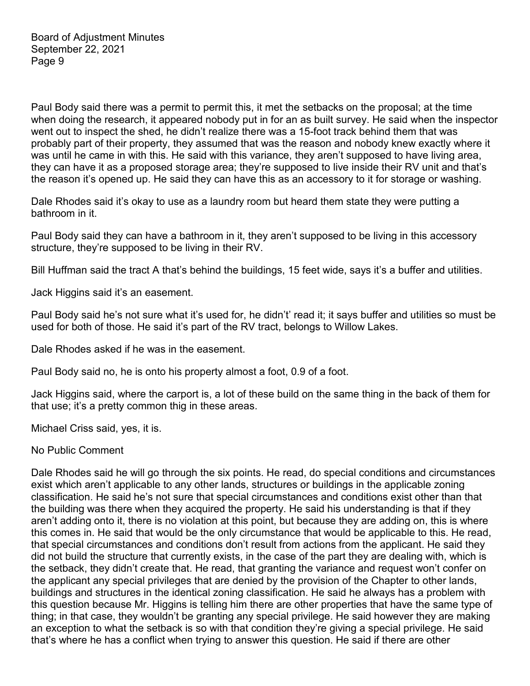Paul Body said there was a permit to permit this, it met the setbacks on the proposal; at the time when doing the research, it appeared nobody put in for an as built survey. He said when the inspector went out to inspect the shed, he didn't realize there was a 15-foot track behind them that was probably part of their property, they assumed that was the reason and nobody knew exactly where it was until he came in with this. He said with this variance, they aren't supposed to have living area, they can have it as a proposed storage area; they're supposed to live inside their RV unit and that's the reason it's opened up. He said they can have this as an accessory to it for storage or washing.

Dale Rhodes said it's okay to use as a laundry room but heard them state they were putting a bathroom in it.

Paul Body said they can have a bathroom in it, they aren't supposed to be living in this accessory structure, they're supposed to be living in their RV.

Bill Huffman said the tract A that's behind the buildings, 15 feet wide, says it's a buffer and utilities.

Jack Higgins said it's an easement.

Paul Body said he's not sure what it's used for, he didn't' read it; it says buffer and utilities so must be used for both of those. He said it's part of the RV tract, belongs to Willow Lakes.

Dale Rhodes asked if he was in the easement.

Paul Body said no, he is onto his property almost a foot, 0.9 of a foot.

Jack Higgins said, where the carport is, a lot of these build on the same thing in the back of them for that use; it's a pretty common thig in these areas.

Michael Criss said, yes, it is.

#### No Public Comment

Dale Rhodes said he will go through the six points. He read, do special conditions and circumstances exist which aren't applicable to any other lands, structures or buildings in the applicable zoning classification. He said he's not sure that special circumstances and conditions exist other than that the building was there when they acquired the property. He said his understanding is that if they aren't adding onto it, there is no violation at this point, but because they are adding on, this is where this comes in. He said that would be the only circumstance that would be applicable to this. He read, that special circumstances and conditions don't result from actions from the applicant. He said they did not build the structure that currently exists, in the case of the part they are dealing with, which is the setback, they didn't create that. He read, that granting the variance and request won't confer on the applicant any special privileges that are denied by the provision of the Chapter to other lands, buildings and structures in the identical zoning classification. He said he always has a problem with this question because Mr. Higgins is telling him there are other properties that have the same type of thing; in that case, they wouldn't be granting any special privilege. He said however they are making an exception to what the setback is so with that condition they're giving a special privilege. He said that's where he has a conflict when trying to answer this question. He said if there are other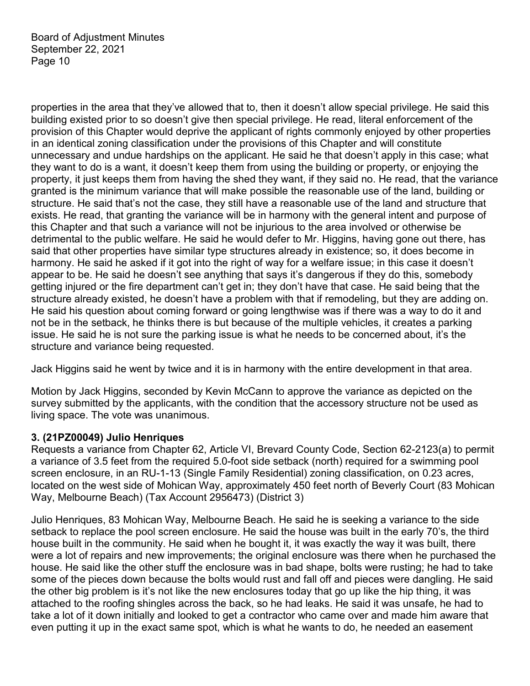properties in the area that they've allowed that to, then it doesn't allow special privilege. He said this building existed prior to so doesn't give then special privilege. He read, literal enforcement of the provision of this Chapter would deprive the applicant of rights commonly enjoyed by other properties in an identical zoning classification under the provisions of this Chapter and will constitute unnecessary and undue hardships on the applicant. He said he that doesn't apply in this case; what they want to do is a want, it doesn't keep them from using the building or property, or enjoying the property, it just keeps them from having the shed they want, if they said no. He read, that the variance granted is the minimum variance that will make possible the reasonable use of the land, building or structure. He said that's not the case, they still have a reasonable use of the land and structure that exists. He read, that granting the variance will be in harmony with the general intent and purpose of this Chapter and that such a variance will not be injurious to the area involved or otherwise be detrimental to the public welfare. He said he would defer to Mr. Higgins, having gone out there, has said that other properties have similar type structures already in existence; so, it does become in harmony. He said he asked if it got into the right of way for a welfare issue; in this case it doesn't appear to be. He said he doesn't see anything that says it's dangerous if they do this, somebody getting injured or the fire department can't get in; they don't have that case. He said being that the structure already existed, he doesn't have a problem with that if remodeling, but they are adding on. He said his question about coming forward or going lengthwise was if there was a way to do it and not be in the setback, he thinks there is but because of the multiple vehicles, it creates a parking issue. He said he is not sure the parking issue is what he needs to be concerned about, it's the structure and variance being requested.

Jack Higgins said he went by twice and it is in harmony with the entire development in that area.

Motion by Jack Higgins, seconded by Kevin McCann to approve the variance as depicted on the survey submitted by the applicants, with the condition that the accessory structure not be used as living space. The vote was unanimous.

# **3. (21PZ00049) Julio Henriques**

Requests a variance from Chapter 62, Article VI, Brevard County Code, Section 62-2123(a) to permit a variance of 3.5 feet from the required 5.0-foot side setback (north) required for a swimming pool screen enclosure, in an RU-1-13 (Single Family Residential) zoning classification, on 0.23 acres, located on the west side of Mohican Way, approximately 450 feet north of Beverly Court (83 Mohican Way, Melbourne Beach) (Tax Account 2956473) (District 3)

Julio Henriques, 83 Mohican Way, Melbourne Beach. He said he is seeking a variance to the side setback to replace the pool screen enclosure. He said the house was built in the early 70's, the third house built in the community. He said when he bought it, it was exactly the way it was built, there were a lot of repairs and new improvements; the original enclosure was there when he purchased the house. He said like the other stuff the enclosure was in bad shape, bolts were rusting; he had to take some of the pieces down because the bolts would rust and fall off and pieces were dangling. He said the other big problem is it's not like the new enclosures today that go up like the hip thing, it was attached to the roofing shingles across the back, so he had leaks. He said it was unsafe, he had to take a lot of it down initially and looked to get a contractor who came over and made him aware that even putting it up in the exact same spot, which is what he wants to do, he needed an easement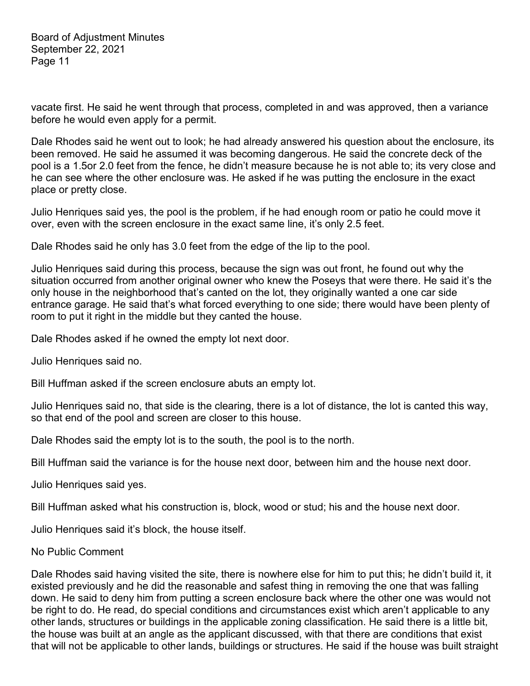vacate first. He said he went through that process, completed in and was approved, then a variance before he would even apply for a permit.

Dale Rhodes said he went out to look; he had already answered his question about the enclosure, its been removed. He said he assumed it was becoming dangerous. He said the concrete deck of the pool is a 1.5or 2.0 feet from the fence, he didn't measure because he is not able to; its very close and he can see where the other enclosure was. He asked if he was putting the enclosure in the exact place or pretty close.

Julio Henriques said yes, the pool is the problem, if he had enough room or patio he could move it over, even with the screen enclosure in the exact same line, it's only 2.5 feet.

Dale Rhodes said he only has 3.0 feet from the edge of the lip to the pool.

Julio Henriques said during this process, because the sign was out front, he found out why the situation occurred from another original owner who knew the Poseys that were there. He said it's the only house in the neighborhood that's canted on the lot, they originally wanted a one car side entrance garage. He said that's what forced everything to one side; there would have been plenty of room to put it right in the middle but they canted the house.

Dale Rhodes asked if he owned the empty lot next door.

Julio Henriques said no.

Bill Huffman asked if the screen enclosure abuts an empty lot.

Julio Henriques said no, that side is the clearing, there is a lot of distance, the lot is canted this way, so that end of the pool and screen are closer to this house.

Dale Rhodes said the empty lot is to the south, the pool is to the north.

Bill Huffman said the variance is for the house next door, between him and the house next door.

Julio Henriques said yes.

Bill Huffman asked what his construction is, block, wood or stud; his and the house next door.

Julio Henriques said it's block, the house itself.

#### No Public Comment

Dale Rhodes said having visited the site, there is nowhere else for him to put this; he didn't build it, it existed previously and he did the reasonable and safest thing in removing the one that was falling down. He said to deny him from putting a screen enclosure back where the other one was would not be right to do. He read, do special conditions and circumstances exist which aren't applicable to any other lands, structures or buildings in the applicable zoning classification. He said there is a little bit, the house was built at an angle as the applicant discussed, with that there are conditions that exist that will not be applicable to other lands, buildings or structures. He said if the house was built straight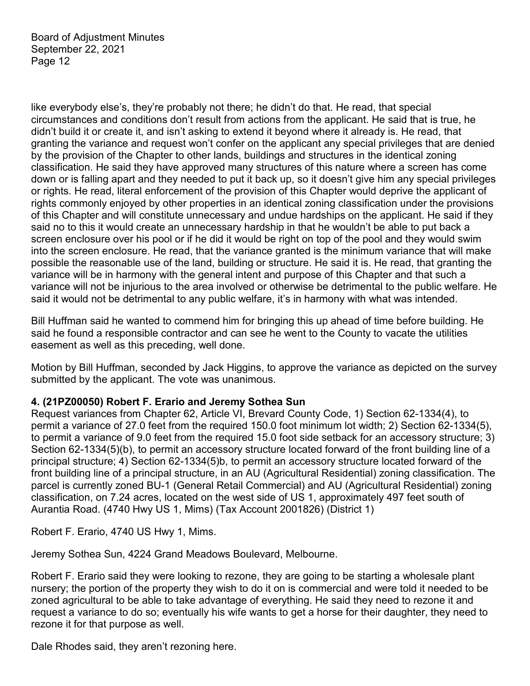like everybody else's, they're probably not there; he didn't do that. He read, that special circumstances and conditions don't result from actions from the applicant. He said that is true, he didn't build it or create it, and isn't asking to extend it beyond where it already is. He read, that granting the variance and request won't confer on the applicant any special privileges that are denied by the provision of the Chapter to other lands, buildings and structures in the identical zoning classification. He said they have approved many structures of this nature where a screen has come down or is falling apart and they needed to put it back up, so it doesn't give him any special privileges or rights. He read, literal enforcement of the provision of this Chapter would deprive the applicant of rights commonly enjoyed by other properties in an identical zoning classification under the provisions of this Chapter and will constitute unnecessary and undue hardships on the applicant. He said if they said no to this it would create an unnecessary hardship in that he wouldn't be able to put back a screen enclosure over his pool or if he did it would be right on top of the pool and they would swim into the screen enclosure. He read, that the variance granted is the minimum variance that will make possible the reasonable use of the land, building or structure. He said it is. He read, that granting the variance will be in harmony with the general intent and purpose of this Chapter and that such a variance will not be injurious to the area involved or otherwise be detrimental to the public welfare. He said it would not be detrimental to any public welfare, it's in harmony with what was intended.

Bill Huffman said he wanted to commend him for bringing this up ahead of time before building. He said he found a responsible contractor and can see he went to the County to vacate the utilities easement as well as this preceding, well done.

Motion by Bill Huffman, seconded by Jack Higgins, to approve the variance as depicted on the survey submitted by the applicant. The vote was unanimous.

# **4. (21PZ00050) Robert F. Erario and Jeremy Sothea Sun**

Request variances from Chapter 62, Article VI, Brevard County Code, 1) Section 62-1334(4), to permit a variance of 27.0 feet from the required 150.0 foot minimum lot width; 2) Section 62-1334(5), to permit a variance of 9.0 feet from the required 15.0 foot side setback for an accessory structure; 3) Section 62-1334(5)(b), to permit an accessory structure located forward of the front building line of a principal structure; 4) Section 62-1334(5)b, to permit an accessory structure located forward of the front building line of a principal structure, in an AU (Agricultural Residential) zoning classification. The parcel is currently zoned BU-1 (General Retail Commercial) and AU (Agricultural Residential) zoning classification, on 7.24 acres, located on the west side of US 1, approximately 497 feet south of Aurantia Road. (4740 Hwy US 1, Mims) (Tax Account 2001826) (District 1)

Robert F. Erario, 4740 US Hwy 1, Mims.

Jeremy Sothea Sun, 4224 Grand Meadows Boulevard, Melbourne.

Robert F. Erario said they were looking to rezone, they are going to be starting a wholesale plant nursery; the portion of the property they wish to do it on is commercial and were told it needed to be zoned agricultural to be able to take advantage of everything. He said they need to rezone it and request a variance to do so; eventually his wife wants to get a horse for their daughter, they need to rezone it for that purpose as well.

Dale Rhodes said, they aren't rezoning here.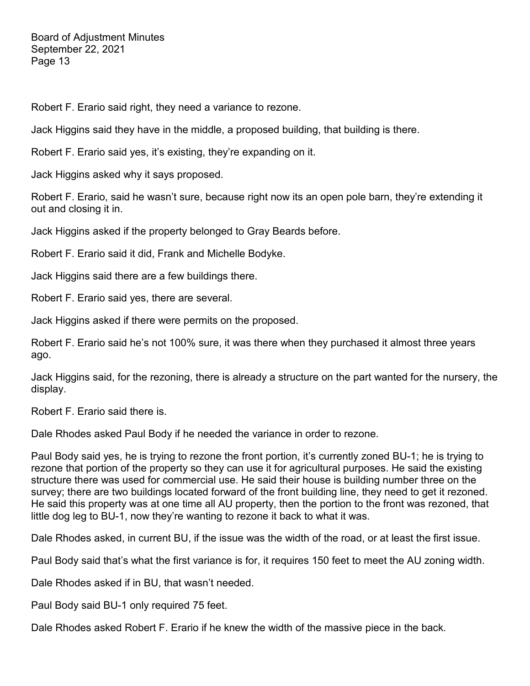Robert F. Erario said right, they need a variance to rezone.

Jack Higgins said they have in the middle, a proposed building, that building is there.

Robert F. Erario said yes, it's existing, they're expanding on it.

Jack Higgins asked why it says proposed.

Robert F. Erario, said he wasn't sure, because right now its an open pole barn, they're extending it out and closing it in.

Jack Higgins asked if the property belonged to Gray Beards before.

Robert F. Erario said it did, Frank and Michelle Bodyke.

Jack Higgins said there are a few buildings there.

Robert F. Erario said yes, there are several.

Jack Higgins asked if there were permits on the proposed.

Robert F. Erario said he's not 100% sure, it was there when they purchased it almost three years ago.

Jack Higgins said, for the rezoning, there is already a structure on the part wanted for the nursery, the display.

Robert F. Erario said there is.

Dale Rhodes asked Paul Body if he needed the variance in order to rezone.

Paul Body said yes, he is trying to rezone the front portion, it's currently zoned BU-1; he is trying to rezone that portion of the property so they can use it for agricultural purposes. He said the existing structure there was used for commercial use. He said their house is building number three on the survey; there are two buildings located forward of the front building line, they need to get it rezoned. He said this property was at one time all AU property, then the portion to the front was rezoned, that little dog leg to BU-1, now they're wanting to rezone it back to what it was.

Dale Rhodes asked, in current BU, if the issue was the width of the road, or at least the first issue.

Paul Body said that's what the first variance is for, it requires 150 feet to meet the AU zoning width.

Dale Rhodes asked if in BU, that wasn't needed.

Paul Body said BU-1 only required 75 feet.

Dale Rhodes asked Robert F. Erario if he knew the width of the massive piece in the back.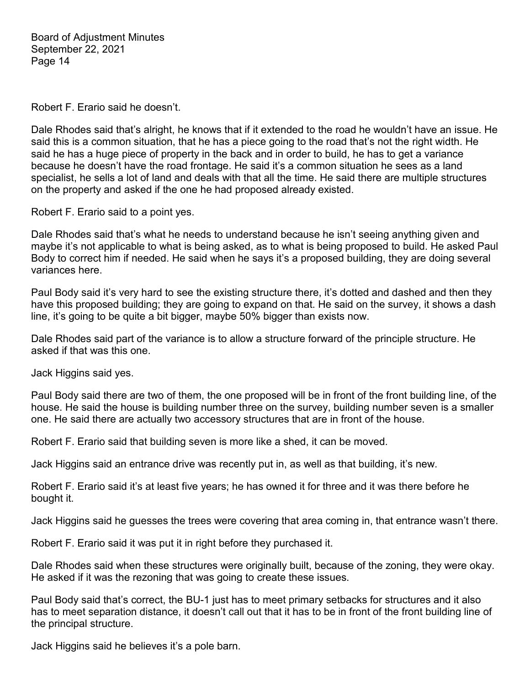Robert F. Erario said he doesn't.

Dale Rhodes said that's alright, he knows that if it extended to the road he wouldn't have an issue. He said this is a common situation, that he has a piece going to the road that's not the right width. He said he has a huge piece of property in the back and in order to build, he has to get a variance because he doesn't have the road frontage. He said it's a common situation he sees as a land specialist, he sells a lot of land and deals with that all the time. He said there are multiple structures on the property and asked if the one he had proposed already existed.

Robert F. Erario said to a point yes.

Dale Rhodes said that's what he needs to understand because he isn't seeing anything given and maybe it's not applicable to what is being asked, as to what is being proposed to build. He asked Paul Body to correct him if needed. He said when he says it's a proposed building, they are doing several variances here.

Paul Body said it's very hard to see the existing structure there, it's dotted and dashed and then they have this proposed building; they are going to expand on that. He said on the survey, it shows a dash line, it's going to be quite a bit bigger, maybe 50% bigger than exists now.

Dale Rhodes said part of the variance is to allow a structure forward of the principle structure. He asked if that was this one.

Jack Higgins said yes.

Paul Body said there are two of them, the one proposed will be in front of the front building line, of the house. He said the house is building number three on the survey, building number seven is a smaller one. He said there are actually two accessory structures that are in front of the house.

Robert F. Erario said that building seven is more like a shed, it can be moved.

Jack Higgins said an entrance drive was recently put in, as well as that building, it's new.

Robert F. Erario said it's at least five years; he has owned it for three and it was there before he bought it.

Jack Higgins said he guesses the trees were covering that area coming in, that entrance wasn't there.

Robert F. Erario said it was put it in right before they purchased it.

Dale Rhodes said when these structures were originally built, because of the zoning, they were okay. He asked if it was the rezoning that was going to create these issues.

Paul Body said that's correct, the BU-1 just has to meet primary setbacks for structures and it also has to meet separation distance, it doesn't call out that it has to be in front of the front building line of the principal structure.

Jack Higgins said he believes it's a pole barn.